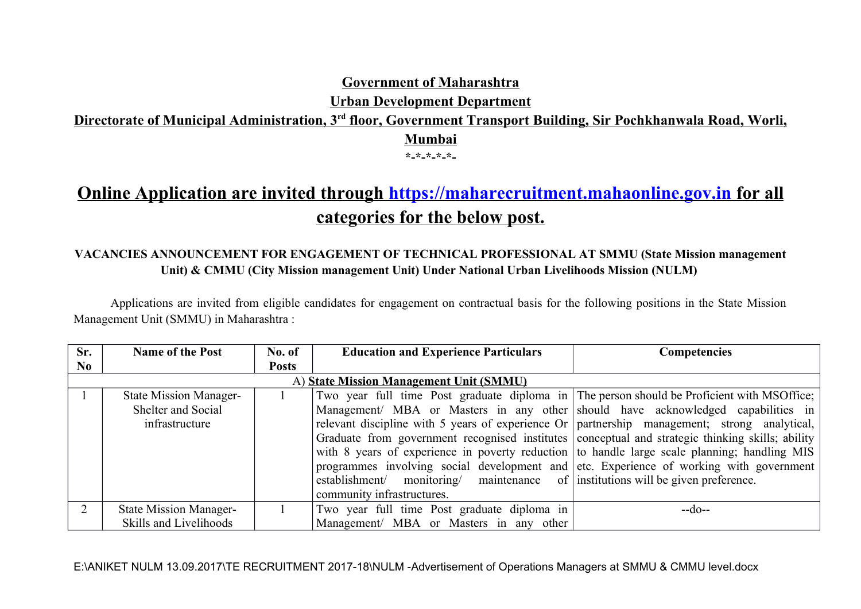**Government of Maharashtra**

**Urban Development Department**

# **Directorate of Municipal Administration, 3rd floor, Government Transport Building, Sir Pochkhanwala Road, Worli, Mumbai \*-\*-\*-\*-\*-**

# **Online Application are invited through [https://maharecruitment.mahaonline.gov.in](https://maharecruitment.mahaonline.gov.in/) for all categories for the below post.**

# **VACANCIES ANNOUNCEMENT FOR ENGAGEMENT OF TECHNICAL PROFESSIONAL AT SMMU (State Mission management Unit) & CMMU (City Mission management Unit) Under National Urban Livelihoods Mission (NULM)**

Applications are invited from eligible candidates for engagement on contractual basis for the following positions in the State Mission Management Unit (SMMU) in Maharashtra :

| Sr.                                     | <b>Name of the Post</b>                                               | No. of       | <b>Education and Experience Particulars</b>                                                                                                                                                                                                                                                                                                                                                                                                                                                                                                                                                                                                                        | <b>Competencies</b> |  |  |  |
|-----------------------------------------|-----------------------------------------------------------------------|--------------|--------------------------------------------------------------------------------------------------------------------------------------------------------------------------------------------------------------------------------------------------------------------------------------------------------------------------------------------------------------------------------------------------------------------------------------------------------------------------------------------------------------------------------------------------------------------------------------------------------------------------------------------------------------------|---------------------|--|--|--|
| N <sub>0</sub>                          |                                                                       | <b>Posts</b> |                                                                                                                                                                                                                                                                                                                                                                                                                                                                                                                                                                                                                                                                    |                     |  |  |  |
| A) State Mission Management Unit (SMMU) |                                                                       |              |                                                                                                                                                                                                                                                                                                                                                                                                                                                                                                                                                                                                                                                                    |                     |  |  |  |
|                                         | <b>State Mission Manager-</b><br>Shelter and Social<br>infrastructure |              | Two year full time Post graduate diploma in The person should be Proficient with MSOffice;<br>Management/ MBA or Masters in any other should have acknowledged capabilities in<br>relevant discipline with 5 years of experience Or   partnership management; strong analytical,<br>Graduate from government recognised institutes conceptual and strategic thinking skills; ability<br>with 8 years of experience in poverty reduction to handle large scale planning; handling MIS<br>programmes involving social development and etc. Experience of working with government<br>establishment/ monitoring/ maintenance of institutions will be given preference. |                     |  |  |  |
|                                         |                                                                       |              | community infrastructures.                                                                                                                                                                                                                                                                                                                                                                                                                                                                                                                                                                                                                                         |                     |  |  |  |
|                                         | <b>State Mission Manager-</b><br>Skills and Livelihoods               |              | Two year full time Post graduate diploma in<br>Management/ MBA or Masters in any other                                                                                                                                                                                                                                                                                                                                                                                                                                                                                                                                                                             | $-do-$              |  |  |  |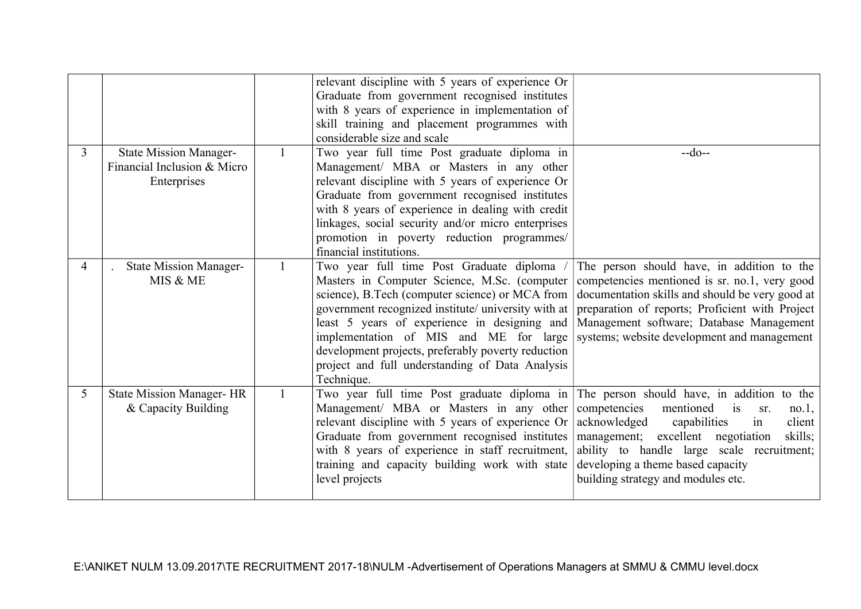|                |                                                                             | relevant discipline with 5 years of experience Or<br>Graduate from government recognised institutes<br>with 8 years of experience in implementation of<br>skill training and placement programmes with<br>considerable size and scale                                                                                                                                                                                                                                 |                                                                                                                                                                                                                                                                                     |
|----------------|-----------------------------------------------------------------------------|-----------------------------------------------------------------------------------------------------------------------------------------------------------------------------------------------------------------------------------------------------------------------------------------------------------------------------------------------------------------------------------------------------------------------------------------------------------------------|-------------------------------------------------------------------------------------------------------------------------------------------------------------------------------------------------------------------------------------------------------------------------------------|
| $\overline{3}$ | <b>State Mission Manager-</b><br>Financial Inclusion & Micro<br>Enterprises | Two year full time Post graduate diploma in<br>Management/ MBA or Masters in any other<br>relevant discipline with 5 years of experience Or<br>Graduate from government recognised institutes<br>with 8 years of experience in dealing with credit<br>linkages, social security and/or micro enterprises<br>promotion in poverty reduction programmes/<br>financial institutions.                                                                                     | $-do-$                                                                                                                                                                                                                                                                              |
| 4              | <b>State Mission Manager-</b><br>MIS & ME                                   | Two year full time Post Graduate diploma /<br>Masters in Computer Science, M.Sc. (computer<br>science), B.Tech (computer science) or MCA from<br>government recognized institute/ university with at preparation of reports; Proficient with Project<br>least 5 years of experience in designing and<br>implementation of MIS and ME for large<br>development projects, preferably poverty reduction<br>project and full understanding of Data Analysis<br>Technique. | The person should have, in addition to the<br>competencies mentioned is sr. no.1, very good<br>documentation skills and should be very good at<br>Management software; Database Management<br>systems; website development and management                                           |
| 5              | <b>State Mission Manager-HR</b><br>& Capacity Building                      | Two year full time Post graduate diploma in The person should have, in addition to the<br>Management/ MBA or Masters in any other<br>relevant discipline with 5 years of experience Or<br>Graduate from government recognised institutes<br>with 8 years of experience in staff recruitment,<br>training and capacity building work with state<br>level projects                                                                                                      | competencies<br>mentioned<br>$\frac{1}{1}$<br>sr.<br>no.1,<br>acknowledged<br>capabilities<br>client<br>1n<br>management; excellent negotiation<br>skills;<br>ability to handle large scale recruitment;<br>developing a theme based capacity<br>building strategy and modules etc. |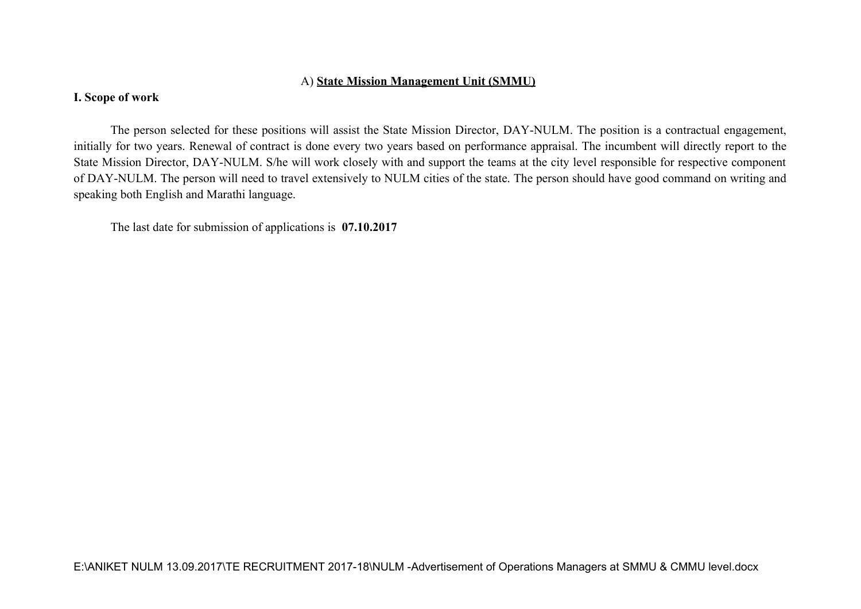#### A) **State Mission Management Unit (SMMU)**

#### **I. Scope of work**

The person selected for these positions will assist the State Mission Director, DAY-NULM. The position is a contractual engagement, initially for two years. Renewal of contract is done every two years based on performance appraisal. The incumbent will directly report to the State Mission Director, DAY-NULM. S/he will work closely with and support the teams at the city level responsible for respective component of DAY-NULM. The person will need to travel extensively to NULM cities of the state. The person should have good command on writing and speaking both English and Marathi language.

The last date for submission of applications is **07.10.2017**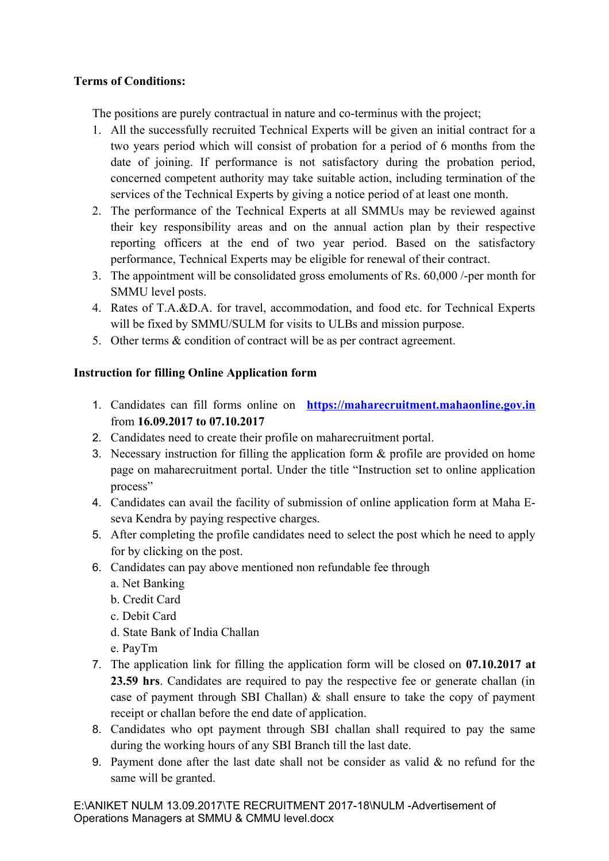## **Terms of Conditions:**

The positions are purely contractual in nature and co-terminus with the project;

- 1. All the successfully recruited Technical Experts will be given an initial contract for a two years period which will consist of probation for a period of 6 months from the date of joining. If performance is not satisfactory during the probation period, concerned competent authority may take suitable action, including termination of the services of the Technical Experts by giving a notice period of at least one month.
- 2. The performance of the Technical Experts at all SMMUs may be reviewed against their key responsibility areas and on the annual action plan by their respective reporting officers at the end of two year period. Based on the satisfactory performance, Technical Experts may be eligible for renewal of their contract.
- 3. The appointment will be consolidated gross emoluments of Rs. 60,000 /-per month for SMMU level posts.
- 4. Rates of T.A.&D.A. for travel, accommodation, and food etc. for Technical Experts will be fixed by SMMU/SULM for visits to ULBs and mission purpose.
- 5. Other terms & condition of contract will be as per contract agreement.

## **Instruction for filling Online Application form**

- 1. Candidates can fill forms online on **[https://maharecruitment.mahaonline.gov.in](https://maharecruitment.mahaonline.gov.in/)** from **16.09.2017 to 07.10.2017**
- 2. Candidates need to create their profile on maharecruitment portal.
- 3. Necessary instruction for filling the application form & profile are provided on home page on maharecruitment portal. Under the title "Instruction set to online application process"
- 4. Candidates can avail the facility of submission of online application form at Maha Eseva Kendra by paying respective charges.
- 5. After completing the profile candidates need to select the post which he need to apply for by clicking on the post.
- 6. Candidates can pay above mentioned non refundable fee through
	- a. Net Banking
	- b. Credit Card
	- c. Debit Card
	- d. State Bank of India Challan
	- e. PayTm
- 7. The application link for filling the application form will be closed on **07.10.2017 at 23.59 hrs**. Candidates are required to pay the respective fee or generate challan (in case of payment through SBI Challan)  $\&$  shall ensure to take the copy of payment receipt or challan before the end date of application.
- 8. Candidates who opt payment through SBI challan shall required to pay the same during the working hours of any SBI Branch till the last date.
- 9. Payment done after the last date shall not be consider as valid & no refund for the same will be granted.